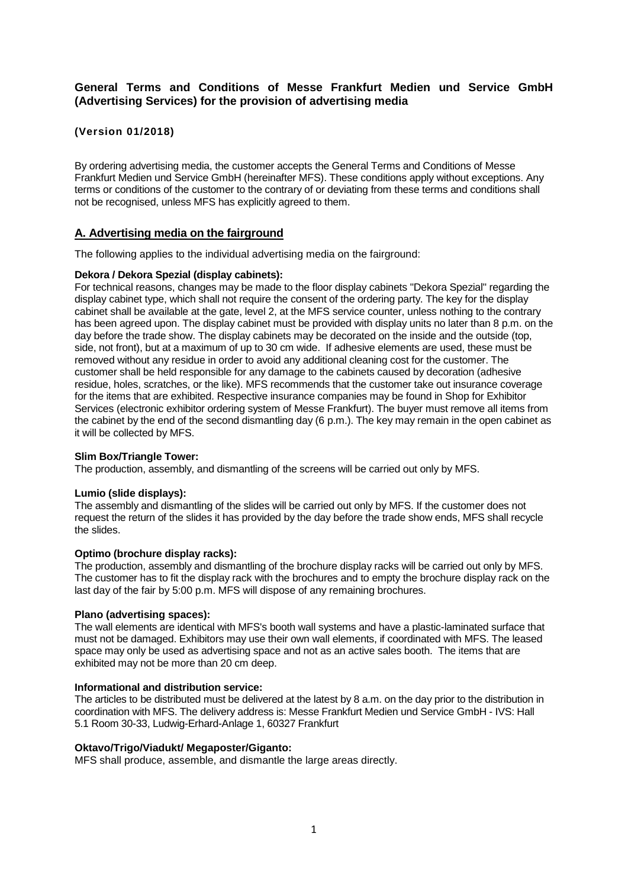# **General Terms and Conditions of Messe Frankfurt Medien und Service GmbH (Advertising Services) for the provision of advertising media**

# **(Version 01/2018)**

By ordering advertising media, the customer accepts the General Terms and Conditions of Messe Frankfurt Medien und Service GmbH (hereinafter MFS). These conditions apply without exceptions. Any terms or conditions of the customer to the contrary of or deviating from these terms and conditions shall not be recognised, unless MFS has explicitly agreed to them.

## **A. Advertising media on the fairground**

The following applies to the individual advertising media on the fairground:

## **Dekora / Dekora Spezial (display cabinets):**

For technical reasons, changes may be made to the floor display cabinets "Dekora Spezial" regarding the display cabinet type, which shall not require the consent of the ordering party. The key for the display cabinet shall be available at the gate, level 2, at the MFS service counter, unless nothing to the contrary has been agreed upon. The display cabinet must be provided with display units no later than 8 p.m. on the day before the trade show. The display cabinets may be decorated on the inside and the outside (top, side, not front), but at a maximum of up to 30 cm wide. If adhesive elements are used, these must be removed without any residue in order to avoid any additional cleaning cost for the customer. The customer shall be held responsible for any damage to the cabinets caused by decoration (adhesive residue, holes, scratches, or the like). MFS recommends that the customer take out insurance coverage for the items that are exhibited. Respective insurance companies may be found in Shop for Exhibitor Services (electronic exhibitor ordering system of Messe Frankfurt). The buyer must remove all items from the cabinet by the end of the second dismantling day (6 p.m.). The key may remain in the open cabinet as it will be collected by MFS.

## **Slim Box/Triangle Tower:**

The production, assembly, and dismantling of the screens will be carried out only by MFS.

### **Lumio (slide displays):**

The assembly and dismantling of the slides will be carried out only by MFS. If the customer does not request the return of the slides it has provided by the day before the trade show ends, MFS shall recycle the slides.

### **Optimo (brochure display racks):**

The production, assembly and dismantling of the brochure display racks will be carried out only by MFS. The customer has to fit the display rack with the brochures and to empty the brochure display rack on the last day of the fair by 5:00 p.m. MFS will dispose of any remaining brochures.

### **Plano (advertising spaces):**

The wall elements are identical with MFS's booth wall systems and have a plastic-laminated surface that must not be damaged. Exhibitors may use their own wall elements, if coordinated with MFS. The leased space may only be used as advertising space and not as an active sales booth. The items that are exhibited may not be more than 20 cm deep.

## **Informational and distribution service:**

The articles to be distributed must be delivered at the latest by 8 a.m. on the day prior to the distribution in coordination with MFS. The delivery address is: Messe Frankfurt Medien und Service GmbH - IVS: Hall 5.1 Room 30-33, Ludwig-Erhard-Anlage 1, 60327 Frankfurt

### **Oktavo/Trigo/Viadukt/ Megaposter/Giganto:**

MFS shall produce, assemble, and dismantle the large areas directly.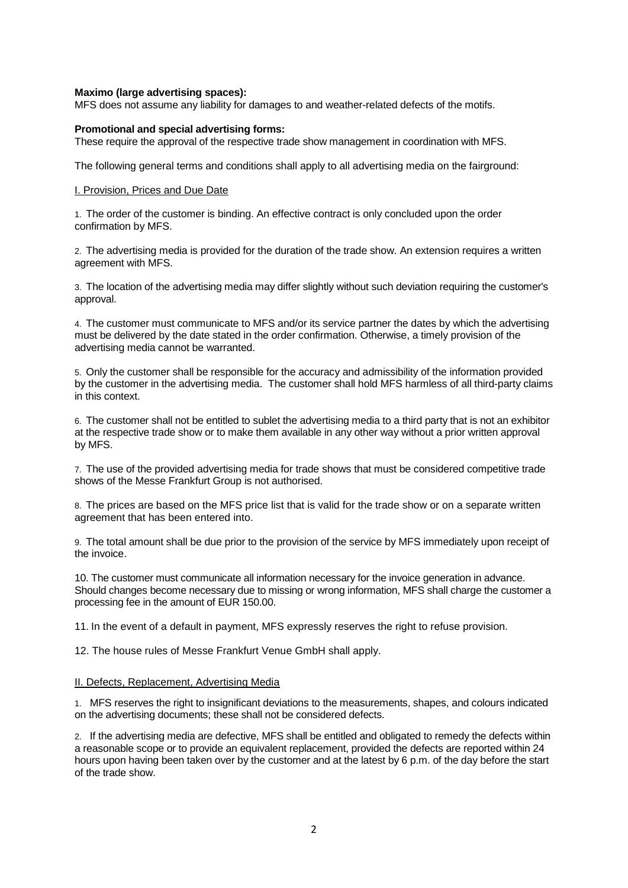#### **Maximo (large advertising spaces):**

MFS does not assume any liability for damages to and weather-related defects of the motifs.

#### **Promotional and special advertising forms:**

These require the approval of the respective trade show management in coordination with MFS.

The following general terms and conditions shall apply to all advertising media on the fairground:

#### I. Provision, Prices and Due Date

1. The order of the customer is binding. An effective contract is only concluded upon the order confirmation by MFS.

2. The advertising media is provided for the duration of the trade show. An extension requires a written agreement with MFS.

3. The location of the advertising media may differ slightly without such deviation requiring the customer's approval.

4. The customer must communicate to MFS and/or its service partner the dates by which the advertising must be delivered by the date stated in the order confirmation. Otherwise, a timely provision of the advertising media cannot be warranted.

5. Only the customer shall be responsible for the accuracy and admissibility of the information provided by the customer in the advertising media. The customer shall hold MFS harmless of all third-party claims in this context.

6. The customer shall not be entitled to sublet the advertising media to a third party that is not an exhibitor at the respective trade show or to make them available in any other way without a prior written approval by MFS.

7. The use of the provided advertising media for trade shows that must be considered competitive trade shows of the Messe Frankfurt Group is not authorised.

8. The prices are based on the MFS price list that is valid for the trade show or on a separate written agreement that has been entered into.

9. The total amount shall be due prior to the provision of the service by MFS immediately upon receipt of the invoice.

10. The customer must communicate all information necessary for the invoice generation in advance. Should changes become necessary due to missing or wrong information, MFS shall charge the customer a processing fee in the amount of EUR 150.00.

11. In the event of a default in payment, MFS expressly reserves the right to refuse provision.

12. The house rules of Messe Frankfurt Venue GmbH shall apply.

#### II. Defects, Replacement, Advertising Media

1. MFS reserves the right to insignificant deviations to the measurements, shapes, and colours indicated on the advertising documents; these shall not be considered defects.

2. If the advertising media are defective, MFS shall be entitled and obligated to remedy the defects within a reasonable scope or to provide an equivalent replacement, provided the defects are reported within 24 hours upon having been taken over by the customer and at the latest by 6 p.m. of the day before the start of the trade show.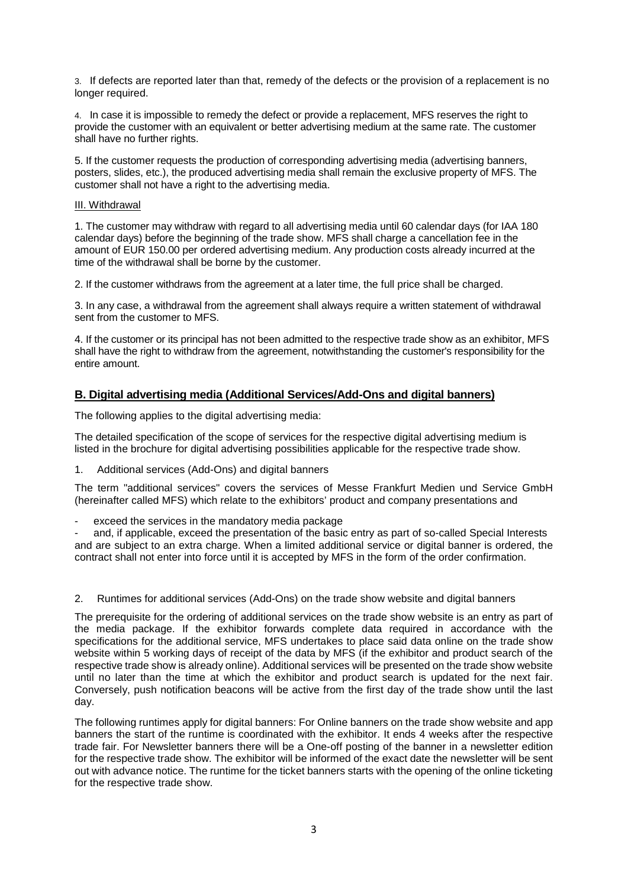3. If defects are reported later than that, remedy of the defects or the provision of a replacement is no longer required.

4. In case it is impossible to remedy the defect or provide a replacement, MFS reserves the right to provide the customer with an equivalent or better advertising medium at the same rate. The customer shall have no further rights.

5. If the customer requests the production of corresponding advertising media (advertising banners, posters, slides, etc.), the produced advertising media shall remain the exclusive property of MFS. The customer shall not have a right to the advertising media.

### III. Withdrawal

1. The customer may withdraw with regard to all advertising media until 60 calendar days (for IAA 180 calendar days) before the beginning of the trade show. MFS shall charge a cancellation fee in the amount of EUR 150.00 per ordered advertising medium. Any production costs already incurred at the time of the withdrawal shall be borne by the customer.

2. If the customer withdraws from the agreement at a later time, the full price shall be charged.

3. In any case, a withdrawal from the agreement shall always require a written statement of withdrawal sent from the customer to MFS.

4. If the customer or its principal has not been admitted to the respective trade show as an exhibitor, MFS shall have the right to withdraw from the agreement, notwithstanding the customer's responsibility for the entire amount.

# **B. Digital advertising media (Additional Services/Add-Ons and digital banners)**

The following applies to the digital advertising media:

The detailed specification of the scope of services for the respective digital advertising medium is listed in the brochure for digital advertising possibilities applicable for the respective trade show.

1. Additional services (Add-Ons) and digital banners

The term "additional services" covers the services of Messe Frankfurt Medien und Service GmbH (hereinafter called MFS) which relate to the exhibitors' product and company presentations and

exceed the services in the mandatory media package

and, if applicable, exceed the presentation of the basic entry as part of so-called Special Interests and are subject to an extra charge. When a limited additional service or digital banner is ordered, the contract shall not enter into force until it is accepted by MFS in the form of the order confirmation.

2. Runtimes for additional services (Add-Ons) on the trade show website and digital banners

The prerequisite for the ordering of additional services on the trade show website is an entry as part of the media package. If the exhibitor forwards complete data required in accordance with the specifications for the additional service, MFS undertakes to place said data online on the trade show website within 5 working days of receipt of the data by MFS (if the exhibitor and product search of the respective trade show is already online). Additional services will be presented on the trade show website until no later than the time at which the exhibitor and product search is updated for the next fair. Conversely, push notification beacons will be active from the first day of the trade show until the last day.

The following runtimes apply for digital banners: For Online banners on the trade show website and app banners the start of the runtime is coordinated with the exhibitor. It ends 4 weeks after the respective trade fair. For Newsletter banners there will be a One-off posting of the banner in a newsletter edition for the respective trade show. The exhibitor will be informed of the exact date the newsletter will be sent out with advance notice. The runtime for the ticket banners starts with the opening of the online ticketing for the respective trade show.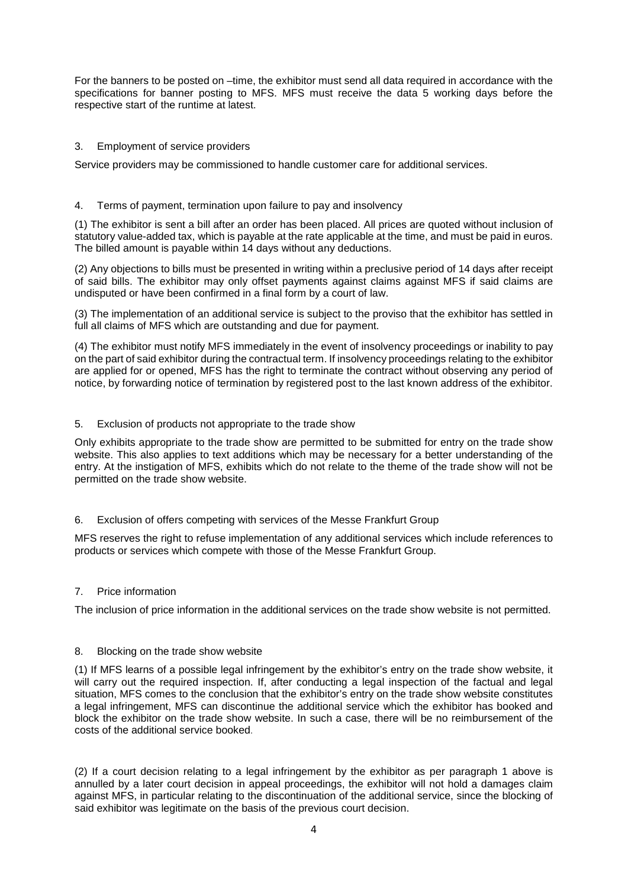For the banners to be posted on –time, the exhibitor must send all data required in accordance with the specifications for banner posting to MFS. MFS must receive the data 5 working days before the respective start of the runtime at latest.

## 3. Employment of service providers

Service providers may be commissioned to handle customer care for additional services.

## 4. Terms of payment, termination upon failure to pay and insolvency

(1) The exhibitor is sent a bill after an order has been placed. All prices are quoted without inclusion of statutory value-added tax, which is payable at the rate applicable at the time, and must be paid in euros. The billed amount is payable within 14 days without any deductions.

(2) Any objections to bills must be presented in writing within a preclusive period of 14 days after receipt of said bills. The exhibitor may only offset payments against claims against MFS if said claims are undisputed or have been confirmed in a final form by a court of law.

(3) The implementation of an additional service is subject to the proviso that the exhibitor has settled in full all claims of MFS which are outstanding and due for payment.

(4) The exhibitor must notify MFS immediately in the event of insolvency proceedings or inability to pay on the part of said exhibitor during the contractual term. If insolvency proceedings relating to the exhibitor are applied for or opened, MFS has the right to terminate the contract without observing any period of notice, by forwarding notice of termination by registered post to the last known address of the exhibitor.

### 5. Exclusion of products not appropriate to the trade show

Only exhibits appropriate to the trade show are permitted to be submitted for entry on the trade show website. This also applies to text additions which may be necessary for a better understanding of the entry. At the instigation of MFS, exhibits which do not relate to the theme of the trade show will not be permitted on the trade show website.

### 6. Exclusion of offers competing with services of the Messe Frankfurt Group

MFS reserves the right to refuse implementation of any additional services which include references to products or services which compete with those of the Messe Frankfurt Group.

### 7. Price information

The inclusion of price information in the additional services on the trade show website is not permitted.

### 8. Blocking on the trade show website

(1) If MFS learns of a possible legal infringement by the exhibitor's entry on the trade show website, it will carry out the required inspection. If, after conducting a legal inspection of the factual and legal situation, MFS comes to the conclusion that the exhibitor's entry on the trade show website constitutes a legal infringement, MFS can discontinue the additional service which the exhibitor has booked and block the exhibitor on the trade show website. In such a case, there will be no reimbursement of the costs of the additional service booked.

(2) If a court decision relating to a legal infringement by the exhibitor as per paragraph 1 above is annulled by a later court decision in appeal proceedings, the exhibitor will not hold a damages claim against MFS, in particular relating to the discontinuation of the additional service, since the blocking of said exhibitor was legitimate on the basis of the previous court decision.